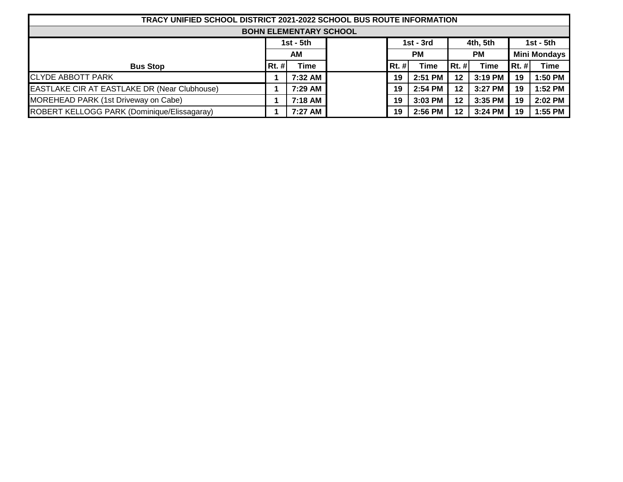| TRACY UNIFIED SCHOOL DISTRICT 2021-2022 SCHOOL BUS ROUTE INFORMATION |       |             |  |           |             |           |             |                     |             |
|----------------------------------------------------------------------|-------|-------------|--|-----------|-------------|-----------|-------------|---------------------|-------------|
| <b>BOHN ELEMENTARY SCHOOL</b>                                        |       |             |  |           |             |           |             |                     |             |
| $1st - 5th$                                                          |       |             |  |           | $1st - 3rd$ |           |             | 1st - 5th           |             |
|                                                                      |       | <b>AM</b>   |  | <b>PM</b> |             | <b>PM</b> |             | <b>Mini Mondays</b> |             |
| <b>Bus Stop</b>                                                      | Rt. # | <b>Time</b> |  | $Rt.$ #   | Time        | $Rt.$ #   | <b>Time</b> | $Rt.$ #             | <b>Time</b> |
| <b>CLYDE ABBOTT PARK</b>                                             |       | 7:32 AM     |  | 19        | 2:51 PM     | 12        | 3:19 PM     | 19                  | 1:50 PM     |
| EASTLAKE CIR AT EASTLAKE DR (Near Clubhouse)                         |       | 7:29 AM     |  | 19        | $2:54$ PM   | 12        | $3:27$ PM   | 19                  | 1:52 PM     |
| MOREHEAD PARK (1st Driveway on Cabe)                                 |       | 7:18 AM     |  | 19        | $3:03$ PM   | 12        | $3:35$ PM   | 19                  | 2:02 PM     |
| ROBERT KELLOGG PARK (Dominique/Elissagaray)                          |       | 7:27 AM     |  | 19        | 2:56 PM     | 12        | 3:24 PM     | 19                  | 1:55 PM     |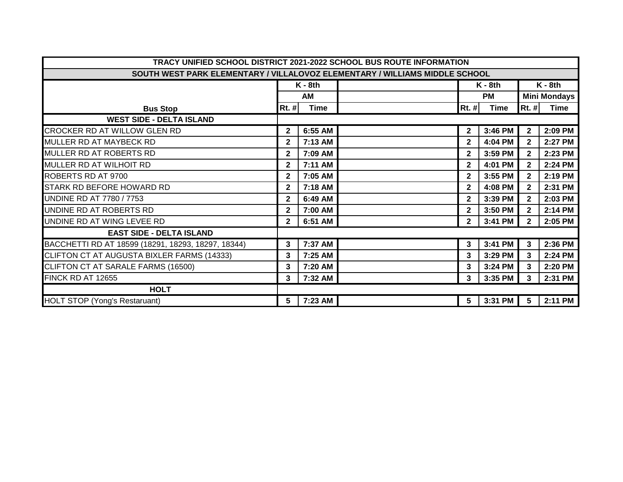| TRACY UNIFIED SCHOOL DISTRICT 2021-2022 SCHOOL BUS ROUTE INFORMATION        |                        |           |  |              |             |                 |                     |  |  |  |  |
|-----------------------------------------------------------------------------|------------------------|-----------|--|--------------|-------------|-----------------|---------------------|--|--|--|--|
| SOUTH WEST PARK ELEMENTARY / VILLALOVOZ ELEMENTARY / WILLIAMS MIDDLE SCHOOL |                        |           |  |              |             |                 |                     |  |  |  |  |
|                                                                             |                        | $K - 8th$ |  | $K - 8th$    |             | $K - 8th$       |                     |  |  |  |  |
|                                                                             |                        | AM        |  | <b>PM</b>    |             |                 | <b>Mini Mondays</b> |  |  |  |  |
| <b>Bus Stop</b>                                                             | <b>Time</b><br>$Rt.$ # |           |  | $Rt.$ #      | <b>Time</b> | $Rt.$ #         | <b>Time</b>         |  |  |  |  |
| <b>WEST SIDE - DELTA ISLAND</b>                                             |                        |           |  |              |             |                 |                     |  |  |  |  |
| CROCKER RD AT WILLOW GLEN RD                                                | $\mathbf{2}$           | 6:55 AM   |  | $\mathbf{2}$ | 3:46 PM     | $\mathbf{2}$    | 2:09 PM             |  |  |  |  |
| MULLER RD AT MAYBECK RD                                                     | $\mathbf{2}$           | 7:13 AM   |  | $\mathbf{2}$ | 4:04 PM     | $\mathbf{2}$    | 2:27 PM             |  |  |  |  |
| MULLER RD AT ROBERTS RD                                                     | $\mathbf 2$            | 7:09 AM   |  | $\mathbf{2}$ | 3:59 PM     | $\mathbf{2}$    | 2:23 PM             |  |  |  |  |
| MULLER RD AT WILHOIT RD                                                     | $\mathbf{2}$           | 7:11 AM   |  | $\mathbf{2}$ | 4:01 PM     | $\mathbf{2}$    | 2:24 PM             |  |  |  |  |
| ROBERTS RD AT 9700                                                          | $\mathbf 2$            | 7:05 AM   |  | $\mathbf{2}$ | 3:55 PM     | $\mathbf{2}$    | 2:19 PM             |  |  |  |  |
| STARK RD BEFORE HOWARD RD                                                   | $\mathbf{2}$           | 7:18 AM   |  | $\mathbf{2}$ | 4:08 PM     | $\mathbf{2}$    | 2:31 PM             |  |  |  |  |
| UNDINE RD AT 7780 / 7753                                                    | $\mathbf{2}$           | 6:49 AM   |  | $\mathbf{2}$ | 3:39 PM     | $\overline{2}$  | 2:03 PM             |  |  |  |  |
| UNDINE RD AT ROBERTS RD                                                     | $\mathbf{2}$           | 7:00 AM   |  | $\mathbf{2}$ | 3:50 PM     | $\mathbf{2}$    | 2:14 PM             |  |  |  |  |
| UNDINE RD AT WING LEVEE RD                                                  | $\mathbf{2}$           | 6:51 AM   |  | $\mathbf{2}$ | 3:41 PM     | $2^{\circ}$     | 2:05 PM             |  |  |  |  |
| <b>EAST SIDE - DELTA ISLAND</b>                                             |                        |           |  |              |             |                 |                     |  |  |  |  |
| BACCHETTI RD AT 18599 (18291, 18293, 18297, 18344)                          | 3                      | 7:37 AM   |  | 3            | 3:41 PM     | $\mathbf{3}$    | 2:36 PM             |  |  |  |  |
| CLIFTON CT AT AUGUSTA BIXLER FARMS (14333)                                  | 3                      | 7:25 AM   |  | 3            | 3:29 PM     | 3               | 2:24 PM             |  |  |  |  |
| CLIFTON CT AT SARALE FARMS (16500)                                          | 3                      | 7:20 AM   |  | 3            | 3:24 PM     | 3               | 2:20 PM             |  |  |  |  |
| FINCK RD AT 12655                                                           | 3                      | 7:32 AM   |  | 3            | 3:35 PM     | 3               | 2:31 PM             |  |  |  |  |
| <b>HOLT</b>                                                                 |                        |           |  |              |             |                 |                     |  |  |  |  |
| <b>HOLT STOP (Yong's Restaruant)</b>                                        | 5                      | 7:23 AM   |  | 5            | 3:31 PM     | $5\phantom{.0}$ | 2:11 PM             |  |  |  |  |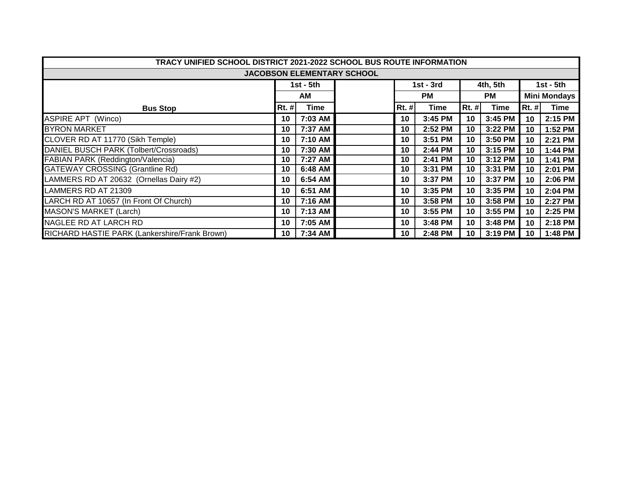| TRACY UNIFIED SCHOOL DISTRICT 2021-2022 SCHOOL BUS ROUTE INFORMATION |              |             |  |              |             |       |           |                     |         |  |  |  |
|----------------------------------------------------------------------|--------------|-------------|--|--------------|-------------|-------|-----------|---------------------|---------|--|--|--|
| <b>JACOBSON ELEMENTARY SCHOOL</b>                                    |              |             |  |              |             |       |           |                     |         |  |  |  |
|                                                                      |              |             |  |              |             |       |           |                     |         |  |  |  |
|                                                                      |              | $1st - 5th$ |  |              | $1st - 3rd$ |       | 4th, 5th  | 1st - 5th           |         |  |  |  |
|                                                                      |              | AM          |  | <b>PM</b>    |             |       | <b>PM</b> | <b>Mini Mondays</b> |         |  |  |  |
| <b>Bus Stop</b>                                                      | <b>Rt. #</b> | Time        |  | <b>Rt. #</b> | <b>Time</b> | Rt. # | Time      | <b>Rt. #</b>        | Time    |  |  |  |
| <b>ASPIRE APT (Winco)</b>                                            | 10           | 7:03 AM     |  | 10           | 3:45 PM     | 10    | 3:45 PM   | 10                  | 2:15 PM |  |  |  |
| <b>BYRON MARKET</b>                                                  | 10           | 7:37 AM     |  | 10           | 2:52 PM     | 10    | 3:22 PM   | 10                  | 1:52 PM |  |  |  |
| CLOVER RD AT 11770 (Sikh Temple)                                     | 10           | 7:10 AM     |  | 10           | 3:51 PM     | 10    | 3:50 PM   | 10                  | 2:21 PM |  |  |  |
| DANIEL BUSCH PARK (Tolbert/Crossroads)                               | 10           | 7:30 AM     |  | 10           | 2:44 PM     | 10    | 3:15 PM   | 10                  | 1:44 PM |  |  |  |
| FABIAN PARK (Reddington/Valencia)                                    | 10           | 7:27 AM     |  | 10           | 2:41 PM     | 10    | 3:12 PM   | 10                  | 1:41 PM |  |  |  |
| <b>GATEWAY CROSSING (Grantline Rd)</b>                               | 10           | 6:48 AM     |  | 10           | 3:31 PM     | 10    | 3:31 PM   | 10                  | 2:01 PM |  |  |  |
| LAMMERS RD AT 20632 (Ornellas Dairy #2)                              | 10           | 6:54 AM     |  | 10           | 3:37 PM     | 10    | 3:37 PM   | 10                  | 2:06 PM |  |  |  |
| LAMMERS RD AT 21309                                                  | 10           | 6:51 AM     |  | 10           | 3:35 PM     | 10    | 3:35 PM   | 10                  | 2:04 PM |  |  |  |
| LARCH RD AT 10657 (In Front Of Church)                               | 10           | 7:16 AM     |  | 10           | 3:58 PM     | 10    | 3:58 PM   | 10                  | 2:27 PM |  |  |  |
| <b>MASON'S MARKET (Larch)</b>                                        | 10           | 7:13 AM     |  | 10           | 3:55 PM     | 10    | 3:55 PM   | 10                  | 2:25 PM |  |  |  |
| NAGLEE RD AT LARCH RD                                                | 10           | 7:05 AM     |  | 10           | 3:48 PM     | 10    | 3:48 PM   | 10                  | 2:18 PM |  |  |  |
| RICHARD HASTIE PARK (Lankershire/Frank Brown)                        | 10           | 7:34 AM     |  | 10           | 2:48 PM     | 10    | 3:19 PM   | 10                  | 1:48 PM |  |  |  |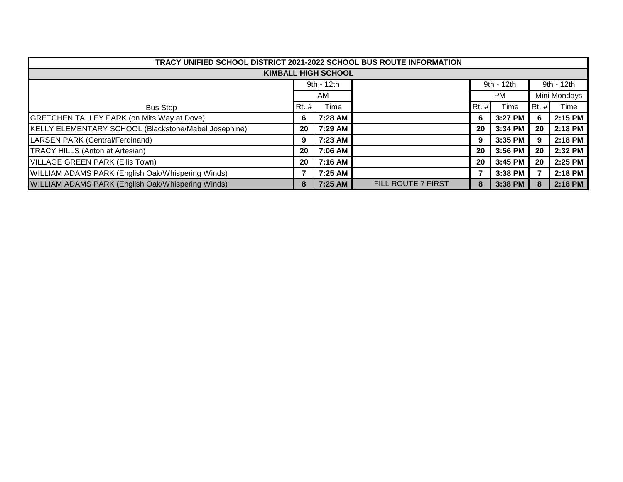| TRACY UNIFIED SCHOOL DISTRICT 2021-2022 SCHOOL BUS ROUTE INFORMATION |            |         |                    |              |           |            |              |  |  |  |
|----------------------------------------------------------------------|------------|---------|--------------------|--------------|-----------|------------|--------------|--|--|--|
| <b>KIMBALL HIGH SCHOOL</b>                                           |            |         |                    |              |           |            |              |  |  |  |
|                                                                      | 9th - 12th |         |                    | 9th - 12th   |           | 9th - 12th |              |  |  |  |
|                                                                      | AM         |         |                    |              | <b>PM</b> |            | Mini Mondays |  |  |  |
| <b>Bus Stop</b>                                                      | $Rt.$ #    | Time    |                    | <b>Rt.</b> # | Time      | $Rt.$ #    | Time         |  |  |  |
| GRETCHEN TALLEY PARK (on Mits Way at Dove)                           | 6          | 7:28 AM |                    | 6            | 3:27 PM   | 6          | 2:15 PM      |  |  |  |
| KELLY ELEMENTARY SCHOOL (Blackstone/Mabel Josephine)                 | 20         | 7:29 AM |                    | 20           | 3:34 PM   | 20         | 2:18 PM      |  |  |  |
| LARSEN PARK (Central/Ferdinand)                                      | 9          | 7:23 AM |                    | 9            | 3:35 PM   | 9          | 2:18 PM      |  |  |  |
| <b>TRACY HILLS (Anton at Artesian)</b>                               | 20         | 7:06 AM |                    | 20           | 3:56 PM   | 20         | 2:32 PM      |  |  |  |
| VILLAGE GREEN PARK (Ellis Town)                                      | -20        | 7:16 AM |                    | 20           | 3:45 PM   | 20         | 2:25 PM      |  |  |  |
| WILLIAM ADAMS PARK (English Oak/Whispering Winds)                    |            | 7:25 AM |                    |              | 3:38 PM   | 7          | 2:18 PM      |  |  |  |
| WILLIAM ADAMS PARK (English Oak/Whispering Winds)                    | 8          | 7:25 AM | FILL ROUTE 7 FIRST | 8            | $3:38$ PM | 8          | 2:18 PM      |  |  |  |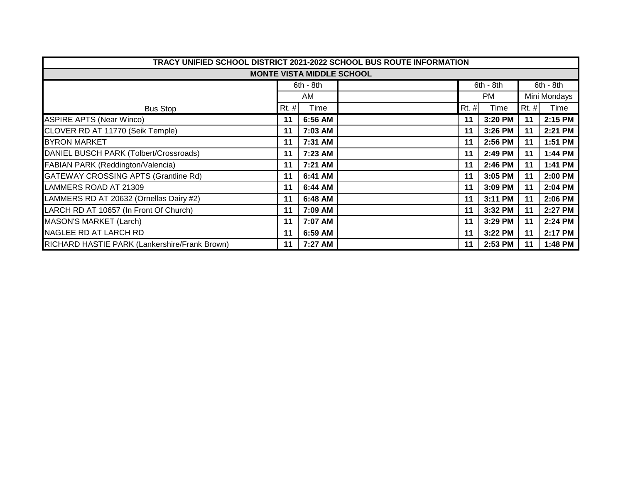| TRACY UNIFIED SCHOOL DISTRICT 2021-2022 SCHOOL BUS ROUTE INFORMATION |       |           |  |         |             |              |           |  |  |  |  |
|----------------------------------------------------------------------|-------|-----------|--|---------|-------------|--------------|-----------|--|--|--|--|
| <b>MONTE VISTA MIDDLE SCHOOL</b>                                     |       |           |  |         |             |              |           |  |  |  |  |
|                                                                      |       | 6th - 8th |  |         | $6th - 8th$ |              | 6th - 8th |  |  |  |  |
|                                                                      |       | AM.       |  |         | PM          | Mini Mondays |           |  |  |  |  |
| <b>Bus Stop</b>                                                      | Rt. # | Time      |  | $Rt.$ # | Time        | Rt. #        | Time      |  |  |  |  |
| <b>ASPIRE APTS (Near Winco)</b>                                      | 11    | 6:56 AM   |  | 11      | 3:20 PM     | 11           | 2:15 PM   |  |  |  |  |
| CLOVER RD AT 11770 (Seik Temple)                                     | 11    | 7:03 AM   |  | 11      | 3:26 PM     | 11           | 2:21 PM   |  |  |  |  |
| <b>BYRON MARKET</b>                                                  | 11    | 7:31 AM   |  | 11      | 2:56 PM     | 11           | 1:51 PM   |  |  |  |  |
| DANIEL BUSCH PARK (Tolbert/Crossroads)                               | 11    | 7:23 AM   |  | 11      | 2:49 PM     | 11           | 1:44 PM   |  |  |  |  |
| <b>FABIAN PARK (Reddington/Valencia)</b>                             | 11    | 7:21 AM   |  | 11      | 2:46 PM     | 11           | 1:41 PM   |  |  |  |  |
| <b>GATEWAY CROSSING APTS (Grantline Rd)</b>                          | 11    | 6:41 AM   |  | 11      | 3:05 PM     | 11           | 2:00 PM   |  |  |  |  |
| LAMMERS ROAD AT 21309                                                | 11    | 6:44 AM   |  | 11      | 3:09 PM     | 11           | 2:04 PM   |  |  |  |  |
| LAMMERS RD AT 20632 (Ornellas Dairy #2)                              | 11    | 6:48 AM   |  | 11      | 3:11 PM     | 11           | 2:06 PM   |  |  |  |  |
| LARCH RD AT 10657 (In Front Of Church)                               | 11    | 7:09 AM   |  | 11      | 3:32 PM     | 11           | 2:27 PM   |  |  |  |  |
| <b>MASON'S MARKET (Larch)</b>                                        | 11    | 7:07 AM   |  | 11      | 3:29 PM     | 11           | 2:24 PM   |  |  |  |  |
| NAGLEE RD AT LARCH RD                                                | 11    | 6:59 AM   |  | 11      | 3:22 PM     | 11           | 2:17 PM   |  |  |  |  |
| RICHARD HASTIE PARK (Lankershire/Frank Brown)                        | 11    | 7:27 AM   |  | 11      | 2:53 PM     | 11           | 1:48 PM   |  |  |  |  |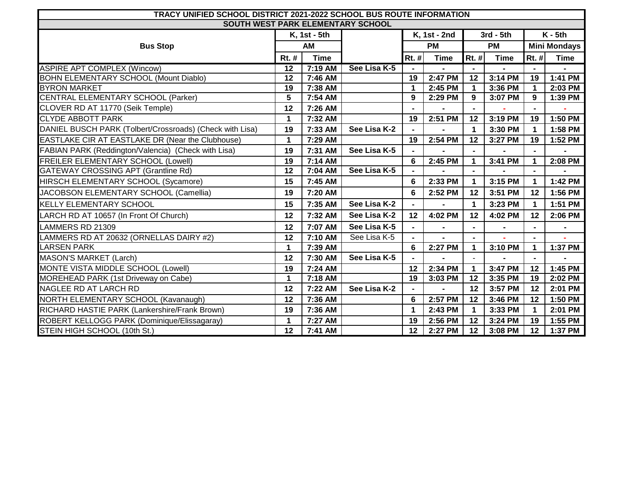| TRACY UNIFIED SCHOOL DISTRICT 2021-2022 SCHOOL BUS ROUTE INFORMATION |                 |              |              |              |             |                      |             |                     |             |  |
|----------------------------------------------------------------------|-----------------|--------------|--------------|--------------|-------------|----------------------|-------------|---------------------|-------------|--|
| SOUTH WEST PARK ELEMENTARY SCHOOL                                    |                 |              |              |              |             |                      |             |                     |             |  |
|                                                                      |                 | K, 1st - 5th |              | K, 1st - 2nd |             | 3rd - 5th            |             | $K - 5th$           |             |  |
| <b>Bus Stop</b>                                                      |                 | AM           |              | <b>PM</b>    |             | <b>PM</b>            |             | <b>Mini Mondays</b> |             |  |
|                                                                      | Rt. #           | <b>Time</b>  |              | $Rt.$ #      | <b>Time</b> | Rt. #                | <b>Time</b> | Rt. #               | <b>Time</b> |  |
| <b>ASPIRE APT COMPLEX (Wincow)</b>                                   | 12              | 7:19 AM      | See Lisa K-5 |              |             |                      |             |                     |             |  |
| <b>BOHN ELEMENTARY SCHOOL (Mount Diablo)</b>                         | 12              | 7:46 AM      |              | 19           | 2:47 PM     | 12                   | 3:14 PM     | 19                  | 1:41 PM     |  |
| <b>BYRON MARKET</b>                                                  | 19              | 7:38 AM      |              | $\mathbf 1$  | 2:45 PM     | $\mathbf{1}$         | 3:36 PM     | $\mathbf 1$         | 2:03 PM     |  |
| CENTRAL ELEMENTARY SCHOOL (Parker)                                   | 5               | 7:54 AM      |              | 9            | 2:29 PM     | 9                    | 3:07 PM     | 9                   | 1:39 PM     |  |
| CLOVER RD AT 11770 (Seik Temple)                                     | 12              | 7:26 AM      |              |              |             |                      |             |                     |             |  |
| <b>CLYDE ABBOTT PARK</b>                                             | 1               | 7:32 AM      |              | 19           | 2:51 PM     | 12                   | 3:19 PM     | 19                  | 1:50 PM     |  |
| DANIEL BUSCH PARK (Tolbert/Crossroads) (Check with Lisa)             | 19              | 7:33 AM      | See Lisa K-2 |              |             | $\blacktriangleleft$ | 3:30 PM     | $\mathbf 1$         | 1:58 PM     |  |
| <b>EASTLAKE CIR AT EASTLAKE DR (Near the Clubhouse)</b>              | 1               | 7:29 AM      |              | 19           | 2:54 PM     | 12                   | 3:27 PM     | 19                  | 1:52 PM     |  |
| FABIAN PARK (Reddington/Valencia) (Check with Lisa)                  | 19              | 7:31 AM      | See Lisa K-5 |              |             |                      |             |                     |             |  |
| <b>FREILER ELEMENTARY SCHOOL (Lowell)</b>                            | $\overline{19}$ | 7:14 AM      |              | 6            | 2:45 PM     | $\blacktriangleleft$ | 3:41 PM     | $\mathbf{1}$        | 2:08 PM     |  |
| <b>GATEWAY CROSSING APT (Grantline Rd)</b>                           | 12              | 7:04 AM      | See Lisa K-5 |              |             |                      |             | $\blacksquare$      |             |  |
| HIRSCH ELEMENTARY SCHOOL (Sycamore)                                  | 15              | 7:45 AM      |              | 6            | 2:33 PM     | $\blacktriangleleft$ | 3:15 PM     | $\mathbf 1$         | 1:42 PM     |  |
| JACOBSON ELEMENTARY SCHOOL (Camellia)                                | 19              | 7:20 AM      |              | 6            | 2:52 PM     | 12                   | 3:51 PM     | 12                  | 1:56 PM     |  |
| <b>KELLY ELEMENTARY SCHOOL</b>                                       | 15              | 7:35 AM      | See Lisa K-2 |              |             | $\blacktriangleleft$ | 3:23 PM     | $\mathbf 1$         | 1:51 PM     |  |
| LARCH RD AT 10657 (In Front Of Church)                               | 12              | 7:32 AM      | See Lisa K-2 | 12           | 4:02 PM     | 12                   | 4:02 PM     | 12                  | 2:06 PM     |  |
| LAMMERS RD 21309                                                     | 12              | 7:07 AM      | See Lisa K-5 |              |             |                      |             |                     |             |  |
| LAMMERS RD AT 20632 (ORNELLAS DAIRY #2)                              | 12              | 7:10 AM      | See Lisa K-5 |              |             | $\blacksquare$       |             | $\blacksquare$      |             |  |
| <b>LARSEN PARK</b>                                                   | 1               | 7:39 AM      |              | 6            | 2:27 PM     | 1                    | 3:10 PM     | 1                   | 1:37 PM     |  |
| <b>MASON'S MARKET (Larch)</b>                                        | 12              | 7:30 AM      | See Lisa K-5 |              |             |                      |             |                     |             |  |
| MONTE VISTA MIDDLE SCHOOL (Lowell)                                   | 19              | 7:24 AM      |              | 12           | 2:34 PM     | $\mathbf 1$          | 3:47 PM     | 12                  | 1:45 PM     |  |
| MOREHEAD PARK (1st Driveway on Cabe)                                 | $\mathbf 1$     | 7:18 AM      |              | 19           | 3:03 PM     | 12                   | 3:35 PM     | 19                  | 2:02 PM     |  |
| NAGLEE RD AT LARCH RD                                                | 12              | 7:22 AM      | See Lisa K-2 |              |             | 12                   | 3:57 PM     | 12                  | 2:01 PM     |  |
| NORTH ELEMENTARY SCHOOL (Kavanaugh)                                  | 12              | 7:36 AM      |              | 6            | 2:57 PM     | 12                   | 3:46 PM     | 12                  | 1:50 PM     |  |
| RICHARD HASTIE PARK (Lankershire/Frank Brown)                        | 19              | 7:36 AM      |              | $\mathbf 1$  | 2:43 PM     | $\mathbf{1}$         | 3:33 PM     | $\mathbf 1$         | 2:01 PM     |  |
| ROBERT KELLOGG PARK (Dominique/Elissagaray)                          | 1               | 7:27 AM      |              | 19           | 2:56 PM     | 12                   | 3:24 PM     | 19                  | 1:55 PM     |  |
| STEIN HIGH SCHOOL (10th St.)                                         | 12              | 7:41 AM      |              | 12           | 2:27 PM     | 12 <sup>12</sup>     | 3:08 PM     | 12                  | 1:37 PM     |  |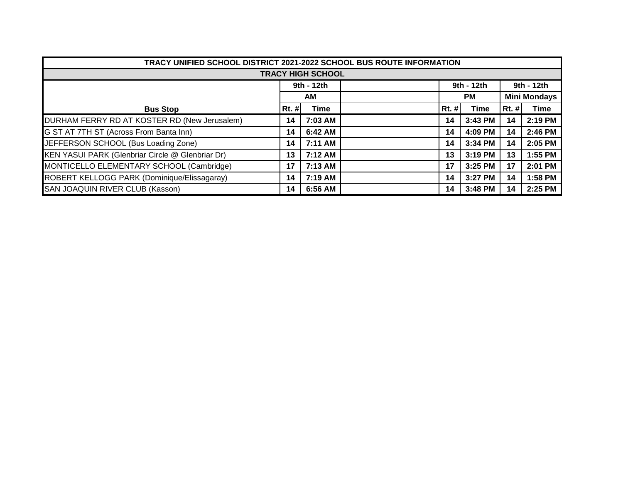|                                                  | TRACY UNIFIED SCHOOL DISTRICT 2021-2022 SCHOOL BUS ROUTE INFORMATION |            |  |            |            |           |             |                     |  |  |  |  |
|--------------------------------------------------|----------------------------------------------------------------------|------------|--|------------|------------|-----------|-------------|---------------------|--|--|--|--|
| <b>TRACY HIGH SCHOOL</b>                         |                                                                      |            |  |            |            |           |             |                     |  |  |  |  |
|                                                  |                                                                      | 9th - 12th |  | 9th - 12th | 9th - 12th |           |             |                     |  |  |  |  |
|                                                  | <b>AM</b>                                                            |            |  |            |            | <b>PM</b> |             | <b>Mini Mondays</b> |  |  |  |  |
| <b>Bus Stop</b>                                  | $Rt.$ #                                                              | Time       |  | $Rt.$ #    | Time       | $Rt.$ #   | <b>Time</b> |                     |  |  |  |  |
| DURHAM FERRY RD AT KOSTER RD (New Jerusalem)     | 14                                                                   | 7:03 AM    |  | 14         | 3:43 PM    | 14        | 2:19 PM     |                     |  |  |  |  |
| G ST AT 7TH ST (Across From Banta Inn)           | 14                                                                   | 6:42 AM    |  | 14         | 4:09 PM    | 14        | 2:46 PM     |                     |  |  |  |  |
| JEFFERSON SCHOOL (Bus Loading Zone)              | 14                                                                   | 7:11 AM    |  | 14         | 3:34 PM    | 14        | 2:05 PM     |                     |  |  |  |  |
| KEN YASUI PARK (Glenbriar Circle @ Glenbriar Dr) | 13                                                                   | 7:12 AM    |  | 13         | 3:19 PM    | 13        | 1:55 PM     |                     |  |  |  |  |
| MONTICELLO ELEMENTARY SCHOOL (Cambridge)         | 17                                                                   | 7:13 AM    |  | 17         | 3:25 PM    | 17        | 2:01 PM     |                     |  |  |  |  |
| ROBERT KELLOGG PARK (Dominique/Elissagaray)      | 14                                                                   | 7:19 AM    |  | 14         | 3:27 PM    | 14        | 1:58 PM     |                     |  |  |  |  |
| SAN JOAQUIN RIVER CLUB (Kasson)                  | 14                                                                   | 6:56 AM    |  | 14         | 3:48 PM    | 14        | 2:25 PM     |                     |  |  |  |  |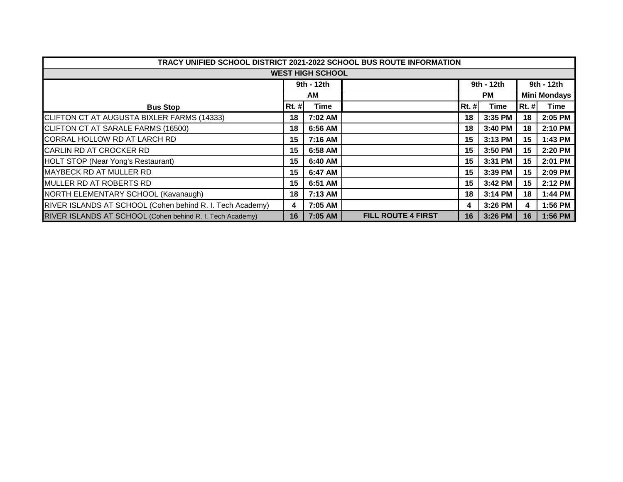| TRACY UNIFIED SCHOOL DISTRICT 2021-2022 SCHOOL BUS ROUTE INFORMATION |              |            |                           |              |             |                     |             |  |  |  |
|----------------------------------------------------------------------|--------------|------------|---------------------------|--------------|-------------|---------------------|-------------|--|--|--|
| <b>WEST HIGH SCHOOL</b>                                              |              |            |                           |              |             |                     |             |  |  |  |
|                                                                      |              | 9th - 12th |                           |              | 9th - 12th  | 9th - 12th          |             |  |  |  |
|                                                                      |              | <b>AM</b>  |                           |              | <b>PM</b>   | <b>Mini Mondays</b> |             |  |  |  |
| <b>Bus Stop</b>                                                      | <b>Rt. #</b> | Time       |                           | <b>Rt. #</b> | <b>Time</b> | <b>Rt. #</b>        | <b>Time</b> |  |  |  |
| CLIFTON CT AT AUGUSTA BIXLER FARMS (14333)                           | 18           | 7:02 AM    |                           | 18           | 3:35 PM     | 18                  | 2:05 PM     |  |  |  |
| CLIFTON CT AT SARALE FARMS (16500)                                   | 18           | 6:56 AM    |                           | 18           | 3:40 PM     | 18                  | 2:10 PM     |  |  |  |
| CORRAL HOLLOW RD AT LARCH RD                                         | 15           | 7:16 AM    |                           | 15           | 3:13 PM     | 15 <sub>1</sub>     | 1:43 PM     |  |  |  |
| CARLIN RD AT CROCKER RD                                              | 15           | 6:58 AM    |                           | 15           | 3:50 PM     | 15                  | 2:20 PM     |  |  |  |
| <b>HOLT STOP (Near Yong's Restaurant)</b>                            | 15           | 6:40 AM    |                           | 15           | 3:31 PM     | 15                  | 2:01 PM     |  |  |  |
| MAYBECK RD AT MULLER RD                                              | 15           | 6:47 AM    |                           | 15           | 3:39 PM     | 15                  | 2:09 PM     |  |  |  |
| MULLER RD AT ROBERTS RD                                              | 15           | 6:51 AM    |                           | 15           | 3:42 PM     | 15                  | 2:12 PM     |  |  |  |
| NORTH ELEMENTARY SCHOOL (Kavanaugh)                                  | 18           | 7:13 AM    |                           | 18           | 3:14 PM     | 18                  | 1:44 PM     |  |  |  |
| RIVER ISLANDS AT SCHOOL (Cohen behind R. I. Tech Academy)            | 4            | 7:05 AM    |                           | 4            | 3:26 PM     | 4                   | 1:56 PM     |  |  |  |
| RIVER ISLANDS AT SCHOOL (Cohen behind R. I. Tech Academy)            | 16           | 7:05 AM    | <b>FILL ROUTE 4 FIRST</b> | 16           | 3:26 PM     | 16                  | 1:56 PM     |  |  |  |